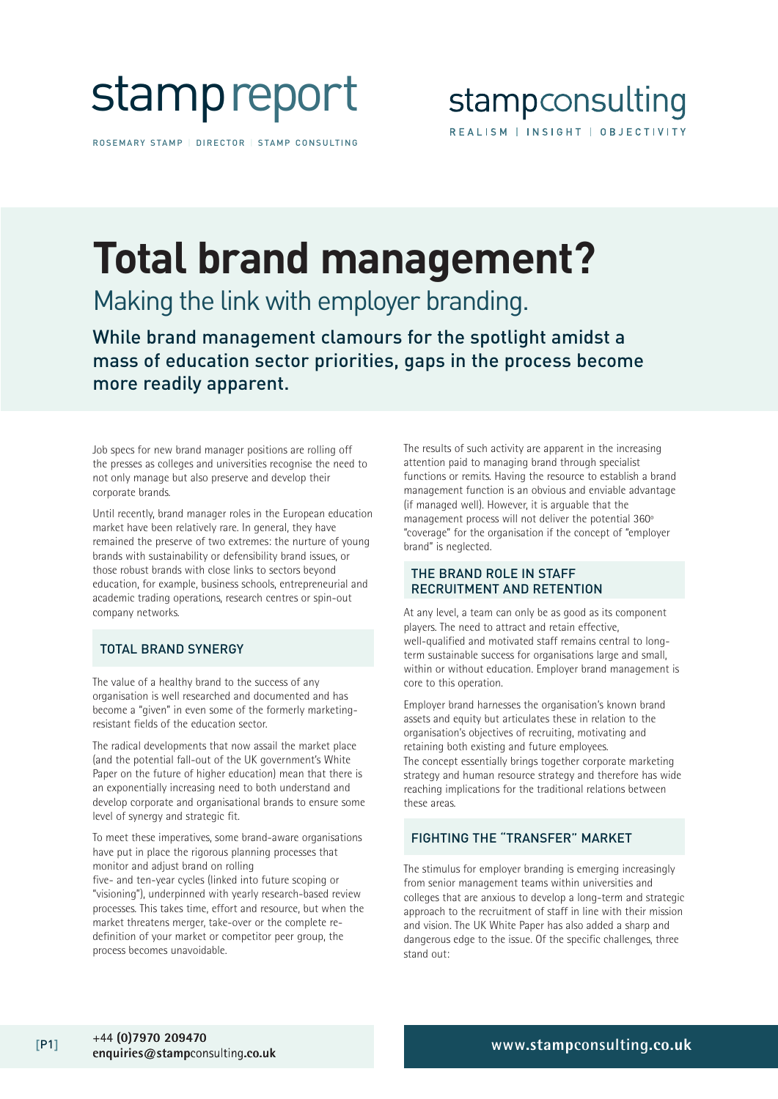

ROSEMARY STAMP | DIRECTOR | STAMP CONSULTING

## **Total brand management?**

Making the link with employer branding.

While brand management clamours for the spotlight amidst a mass of education sector priorities, gaps in the process become more readily apparent.

Job specs for new brand manager positions are rolling off the presses as colleges and universities recognise the need to not only manage but also preserve and develop their corporate brands.

Until recently, brand manager roles in the European education market have been relatively rare. In general, they have remained the preserve of two extremes: the nurture of young brands with sustainability or defensibility brand issues, or those robust brands with close links to sectors beyond education, for example, business schools, entrepreneurial and academic trading operations, research centres or spin-out company networks.

#### TOTAL BRAND SYNERGY

The value of a healthy brand to the success of any organisation is well researched and documented and has become a "given" in even some of the formerly marketingresistant fields of the education sector.

The radical developments that now assail the market place (and the potential fall-out of the UK government's White Paper on the future of higher education) mean that there is an exponentially increasing need to both understand and develop corporate and organisational brands to ensure some level of synergy and strategic fit.

To meet these imperatives, some brand-aware organisations have put in place the rigorous planning processes that monitor and adjust brand on rolling

five- and ten-year cycles (linked into future scoping or "visioning"), underpinned with yearly research-based review processes. This takes time, effort and resource, but when the market threatens merger, take-over or the complete redefinition of your market or competitor peer group, the process becomes unavoidable.

The results of such activity are apparent in the increasing attention paid to managing brand through specialist functions or remits. Having the resource to establish a brand management function is an obvious and enviable advantage (if managed well). However, it is arguable that the management process will not deliver the potential 360º "coverage" for the organisation if the concept of "employer brand" is neglected.

#### THE BRAND ROLE IN STAFF RECRUITMENT AND RETENTION

At any level, a team can only be as good as its component players. The need to attract and retain effective, well-qualified and motivated staff remains central to longterm sustainable success for organisations large and small, within or without education. Employer brand management is core to this operation.

Employer brand harnesses the organisation's known brand assets and equity but articulates these in relation to the organisation's objectives of recruiting, motivating and retaining both existing and future employees. The concept essentially brings together corporate marketing strategy and human resource strategy and therefore has wide reaching implications for the traditional relations between these areas.

#### FIGHTING THE "TRANSFER" MARKET

The stimulus for employer branding is emerging increasingly from senior management teams within universities and colleges that are anxious to develop a long-term and strategic approach to the recruitment of staff in line with their mission and vision. The UK White Paper has also added a sharp and dangerous edge to the issue. Of the specific challenges, three stand out: